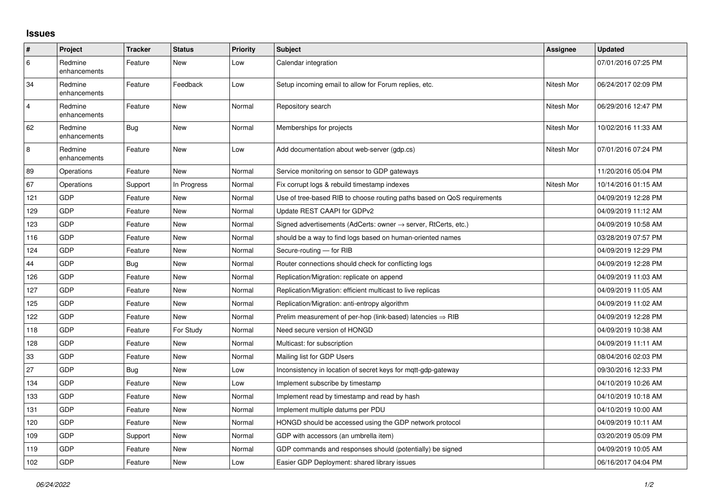## **Issues**

| #              | Project                 | <b>Tracker</b> | <b>Status</b> | <b>Priority</b> | <b>Subject</b>                                                             | <b>Assignee</b> | <b>Updated</b>      |
|----------------|-------------------------|----------------|---------------|-----------------|----------------------------------------------------------------------------|-----------------|---------------------|
| 6              | Redmine<br>enhancements | Feature        | <b>New</b>    | Low             | Calendar integration                                                       |                 | 07/01/2016 07:25 PM |
| 34             | Redmine<br>enhancements | Feature        | Feedback      | Low             | Setup incoming email to allow for Forum replies, etc.                      | Nitesh Mor      | 06/24/2017 02:09 PM |
| $\overline{4}$ | Redmine<br>enhancements | Feature        | <b>New</b>    | Normal          | Repository search                                                          | Nitesh Mor      | 06/29/2016 12:47 PM |
| 62             | Redmine<br>enhancements | <b>Bug</b>     | <b>New</b>    | Normal          | Memberships for projects                                                   | Nitesh Mor      | 10/02/2016 11:33 AM |
| 8              | Redmine<br>enhancements | Feature        | New           | Low             | Add documentation about web-server (gdp.cs)                                | Nitesh Mor      | 07/01/2016 07:24 PM |
| 89             | Operations              | Feature        | <b>New</b>    | Normal          | Service monitoring on sensor to GDP gateways                               |                 | 11/20/2016 05:04 PM |
| 67             | Operations              | Support        | In Progress   | Normal          | Fix corrupt logs & rebuild timestamp indexes                               | Nitesh Mor      | 10/14/2016 01:15 AM |
| 121            | <b>GDP</b>              | Feature        | New           | Normal          | Use of tree-based RIB to choose routing paths based on QoS requirements    |                 | 04/09/2019 12:28 PM |
| 129            | GDP                     | Feature        | <b>New</b>    | Normal          | Update REST CAAPI for GDPv2                                                |                 | 04/09/2019 11:12 AM |
| 123            | <b>GDP</b>              | Feature        | <b>New</b>    | Normal          | Signed advertisements (AdCerts: owner $\rightarrow$ server, RtCerts, etc.) |                 | 04/09/2019 10:58 AM |
| 116            | GDP                     | Feature        | New           | Normal          | should be a way to find logs based on human-oriented names                 |                 | 03/28/2019 07:57 PM |
| 124            | GDP                     | Feature        | <b>New</b>    | Normal          | Secure-routing - for RIB                                                   |                 | 04/09/2019 12:29 PM |
| 44             | GDP                     | <b>Bug</b>     | <b>New</b>    | Normal          | Router connections should check for conflicting logs                       |                 | 04/09/2019 12:28 PM |
| 126            | GDP                     | Feature        | New           | Normal          | Replication/Migration: replicate on append                                 |                 | 04/09/2019 11:03 AM |
| 127            | GDP                     | Feature        | <b>New</b>    | Normal          | Replication/Migration: efficient multicast to live replicas                |                 | 04/09/2019 11:05 AM |
| 125            | <b>GDP</b>              | Feature        | <b>New</b>    | Normal          | Replication/Migration: anti-entropy algorithm                              |                 | 04/09/2019 11:02 AM |
| 122            | <b>GDP</b>              | Feature        | New           | Normal          | Prelim measurement of per-hop (link-based) latencies $\Rightarrow$ RIB     |                 | 04/09/2019 12:28 PM |
| 118            | GDP                     | Feature        | For Study     | Normal          | Need secure version of HONGD                                               |                 | 04/09/2019 10:38 AM |
| 128            | GDP                     | Feature        | <b>New</b>    | Normal          | Multicast: for subscription                                                |                 | 04/09/2019 11:11 AM |
| 33             | GDP                     | Feature        | New           | Normal          | Mailing list for GDP Users                                                 |                 | 08/04/2016 02:03 PM |
| 27             | GDP                     | Bug            | <b>New</b>    | Low             | Inconsistency in location of secret keys for mgtt-gdp-gateway              |                 | 09/30/2016 12:33 PM |
| 134            | <b>GDP</b>              | Feature        | <b>New</b>    | Low             | Implement subscribe by timestamp                                           |                 | 04/10/2019 10:26 AM |
| 133            | GDP                     | Feature        | New           | Normal          | Implement read by timestamp and read by hash                               |                 | 04/10/2019 10:18 AM |
| 131            | GDP                     | Feature        | <b>New</b>    | Normal          | Implement multiple datums per PDU                                          |                 | 04/10/2019 10:00 AM |
| 120            | GDP                     | Feature        | <b>New</b>    | Normal          | HONGD should be accessed using the GDP network protocol                    |                 | 04/09/2019 10:11 AM |
| 109            | GDP                     | Support        | New           | Normal          | GDP with accessors (an umbrella item)                                      |                 | 03/20/2019 05:09 PM |
| 119            | GDP                     | Feature        | <b>New</b>    | Normal          | GDP commands and responses should (potentially) be signed                  |                 | 04/09/2019 10:05 AM |
| 102            | <b>GDP</b>              | Feature        | New           | Low             | Easier GDP Deployment: shared library issues                               |                 | 06/16/2017 04:04 PM |